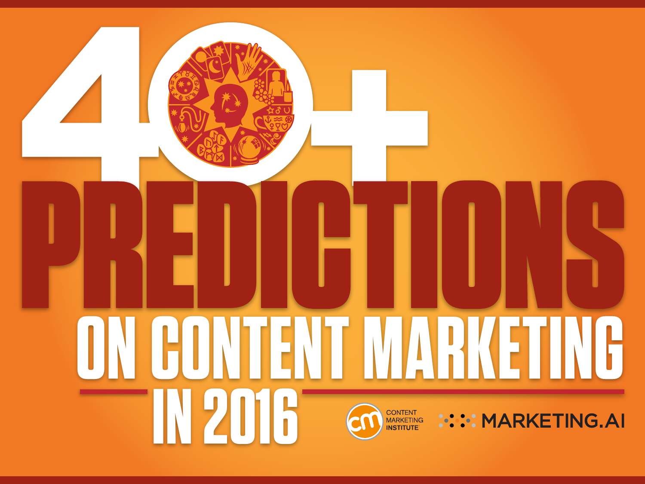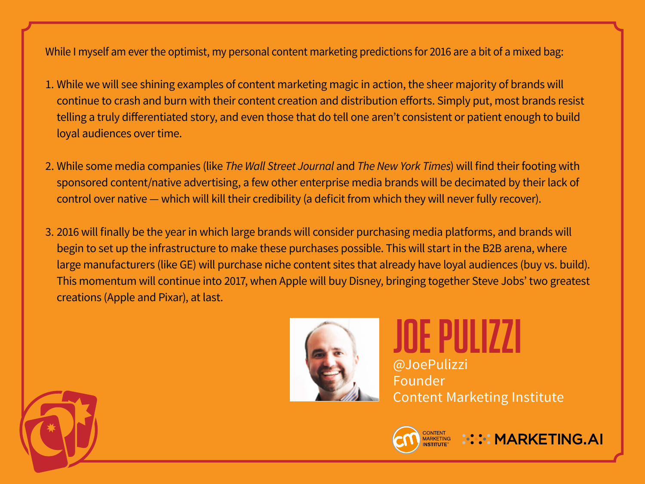While I myself am ever the optimist, my personal content marketing predictions for 2016 are a bit of a mixed bag:

- 1. While we will see shining examples of content marketing magic in action, the sheer majority of brands will continue to crash and burn with their content creation and distribution efforts. Simply put, most brands resist telling a truly differentiated story, and even those that do tell one aren't consistent or patient enough to build loyal audiences over time.
- 2. While some media companies (like *The Wall Street Journal* and *The New York Times*) will find their footing with sponsored content/native advertising, a few other enterprise media brands will be decimated by their lack of control over native — which will kill their credibility (a deficit from which they will never fully recover).
- 3. 2016 will finally be the year in which large brands will consider purchasing media platforms, and brands will begin to set up the infrastructure to make these purchases possible. This will start in the B2B arena, where large manufacturers (like GE) will purchase niche content sites that already have loyal audiences (buy vs. build). This momentum will continue into 2017, when Apple will buy Disney, bringing together Steve Jobs' two greatest creations (Apple and Pixar), at last.



**JOE PULIZZI** @JoePulizzi Founder Content Marketing Institute



**::::: MARKETING.AI**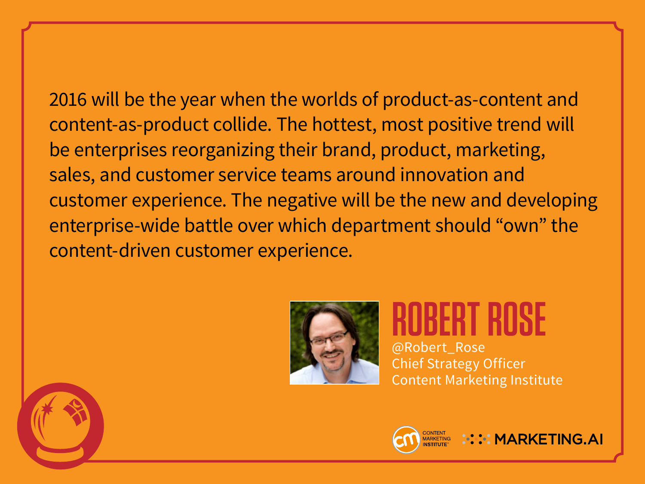2016 will be the year when the worlds of product-as-content and content-as-product collide. The hottest, most positive trend will be enterprises reorganizing their brand, product, marketing, sales, and customer service teams around innovation and customer experience. The negative will be the new and developing enterprise-wide battle over which department should "own" the content-driven customer experience.



**ROBERT ROSE** @Robert\_Rose Chief Strategy Officer Content Marketing Institute



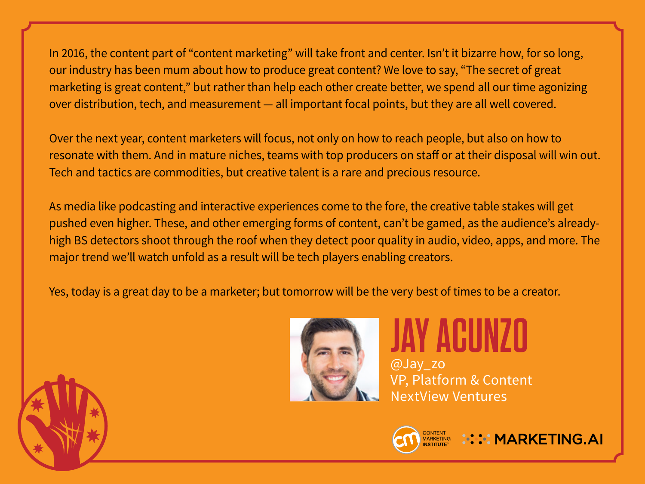In 2016, the content part of "content marketing" will take front and center. Isn't it bizarre how, for so long, our industry has been mum about how to produce great content? We love to say, "The secret of great marketing is great content," but rather than help each other create better, we spend all our time agonizing over distribution, tech, and measurement — all important focal points, but they are all well covered.

Over the next year, content marketers will focus, not only on how to reach people, but also on how to resonate with them. And in mature niches, teams with top producers on staff or at their disposal will win out. Tech and tactics are commodities, but creative talent is a rare and precious resource.

As media like podcasting and interactive experiences come to the fore, the creative table stakes will get pushed even higher. These, and other emerging forms of content, can't be gamed, as the audience's alreadyhigh BS detectors shoot through the roof when they detect poor quality in audio, video, apps, and more. The major trend we'll watch unfold as a result will be tech players enabling creators.

Yes, today is a great day to be a marketer; but tomorrow will be the very best of times to be a creator.



## **JAY ACUNZO**

@Jay\_zo VP, Platform & Content NextView Ventures



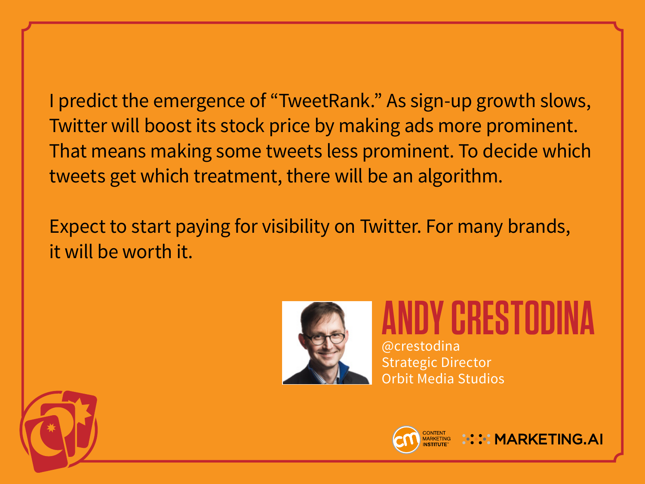I predict the emergence of "TweetRank." As sign-up growth slows, Twitter will boost its stock price by making ads more prominent. That means making some tweets less prominent. To decide which tweets get which treatment, there will be an algorithm.

Expect to start paying for visibility on Twitter. For many brands, it will be worth it.



**ANDY CRESTODINA** @crestodina Strategic Director Orbit Media Studios



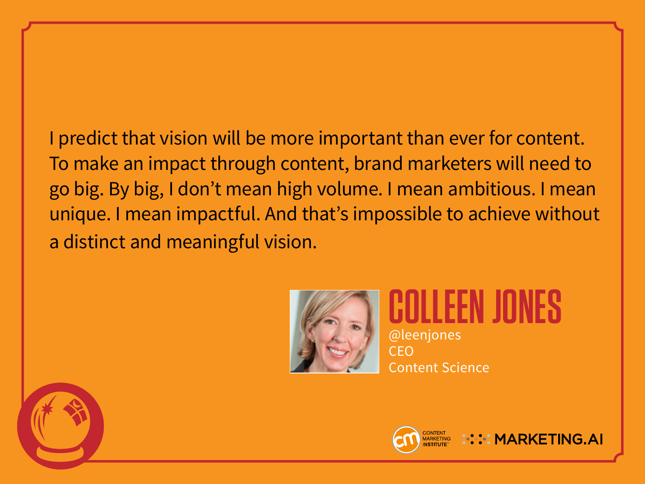I predict that vision will be more important than ever for content. To make an impact through content, brand marketers will need to go big. By big, I don't mean high volume. I mean ambitious. I mean unique. I mean impactful. And that's impossible to achieve without a distinct and meaningful vision.



**COLLEEN JONES** @leenjones CEO Content Science



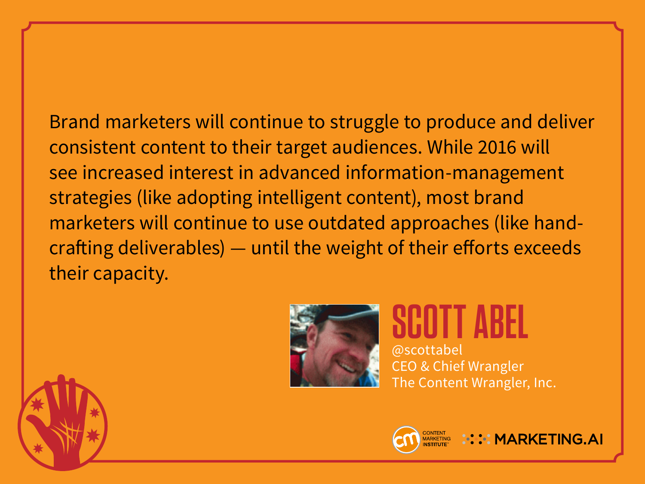Brand marketers will continue to struggle to produce and deliver consistent content to their target audiences. While 2016 will see increased interest in advanced information-management strategies (like adopting intelligent content), most brand marketers will continue to use outdated approaches (like handcrafting deliverables) — until the weight of their efforts exceeds their capacity.



**SCOTT ABEL** @scottabel CEO & Chief Wrangler The Content Wrangler, Inc.

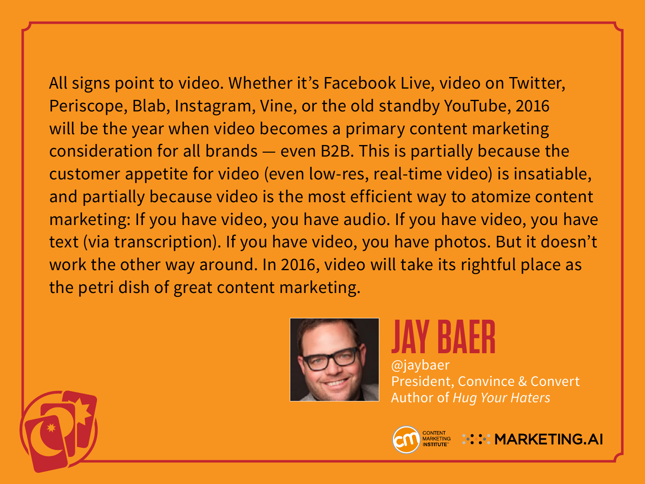All signs point to video. Whether it's Facebook Live, video on Twitter, Periscope, Blab, Instagram, Vine, or the old standby YouTube, 2016 will be the year when video becomes a primary content marketing consideration for all brands — even B2B. This is partially because the customer appetite for video (even low-res, real-time video) is insatiable, and partially because video is the most efficient way to atomize content marketing: If you have video, you have audio. If you have video, you have text (via transcription). If you have video, you have photos. But it doesn't

work the other way around. In 2016, video will take its rightful place as the petri dish of great content marketing.



# **JAY BAER**

@jaybaer President, Convince & Convert Author of *Hug Your Haters*



**NO. MARKETING.AI**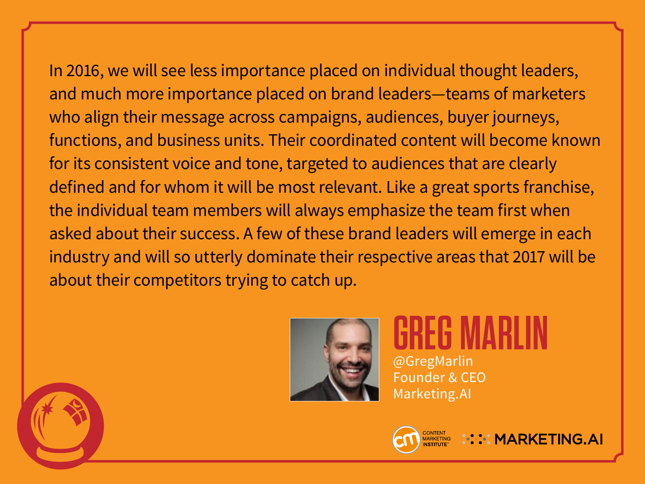In 2016, we will see less importance placed on individual thought leaders, and much more importance placed on brand leaders—teams of marketers who align their message across campaigns, audiences, buyer journeys, functions, and business units. Their coordinated content will become known for its consistent voice and tone, targeted to audiences that are clearly defined and for whom it will be most relevant. Like a great sports franchise, the individual team members will always emphasize the team first when asked about their success. A few of these brand leaders will emerge in each industry and will so utterly dominate their respective areas that 2017 will be about their competitors trying to catch up.



### **GREG MARLIN** @GregMarlin

Founder & CEO Marketing.AI



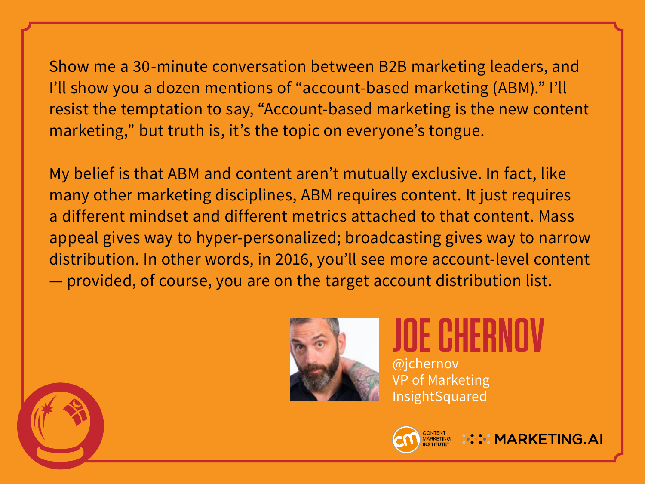Show me a 30-minute conversation between B2B marketing leaders, and I'll show you a dozen mentions of "account-based marketing (ABM)." I'll resist the temptation to say, "Account-based marketing is the new content marketing," but truth is, it's the topic on everyone's tongue.

My belief is that ABM and content aren't mutually exclusive. In fact, like many other marketing disciplines, ABM requires content. It just requires a different mindset and different metrics attached to that content. Mass appeal gives way to hyper-personalized; broadcasting gives way to narrow distribution. In other words, in 2016, you'll see more account-level content — provided, of course, you are on the target account distribution list.



### **JOE CHERNOV** @jchernov

**::::: MARKETING.AI** 

VP of Marketing InsightSquared

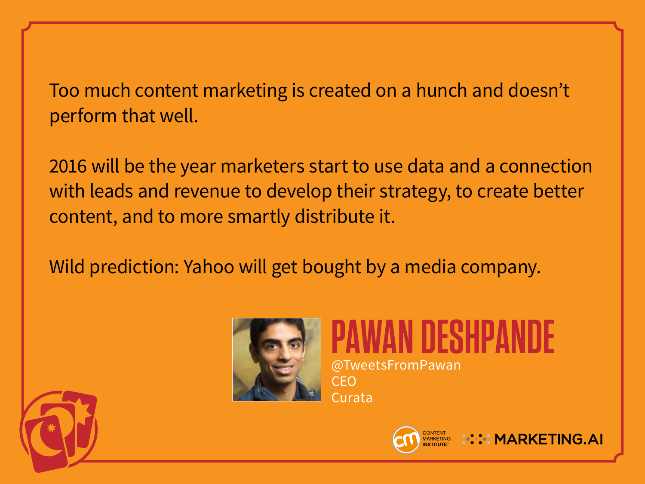Too much content marketing is created on a hunch and doesn't perform that well.

2016 will be the year marketers start to use data and a connection with leads and revenue to develop their strategy, to create better content, and to more smartly distribute it.

Wild prediction: Yahoo will get bought by a media company.



**PAWAN DESHPANDE** @TweetsFromPawan CEO Curata



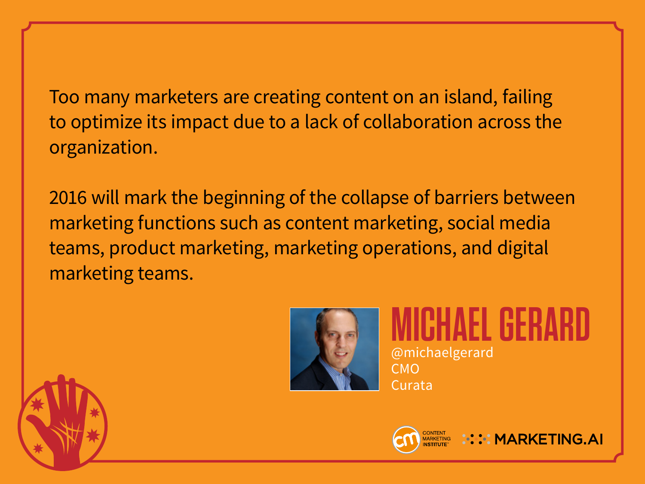Too many marketers are creating content on an island, failing to optimize its impact due to a lack of collaboration across the organization.

2016 will mark the beginning of the collapse of barriers between marketing functions such as content marketing, social media teams, product marketing, marketing operations, and digital marketing teams.



#### **MICHAEL GERARD** @michaelgerard CMO



Curata

**:::: MARKETING.AI**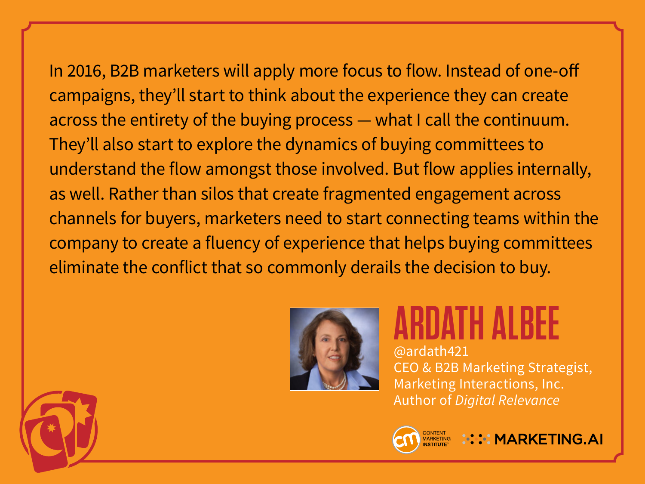In 2016, B2B marketers will apply more focus to flow. Instead of one-off campaigns, they'll start to think about the experience they can create across the entirety of the buying process — what I call the continuum. They'll also start to explore the dynamics of buying committees to understand the flow amongst those involved. But flow applies internally, as well. Rather than silos that create fragmented engagement across channels for buyers, marketers need to start connecting teams within the company to create a fluency of experience that helps buying committees eliminate the conflict that so commonly derails the decision to buy.



### **ARDATH ALBEE** @ardath421

CEO & B2B Marketing Strategist, Marketing Interactions, Inc. Author of *Digital Relevance*



**: :::: MARKETING.AI** 

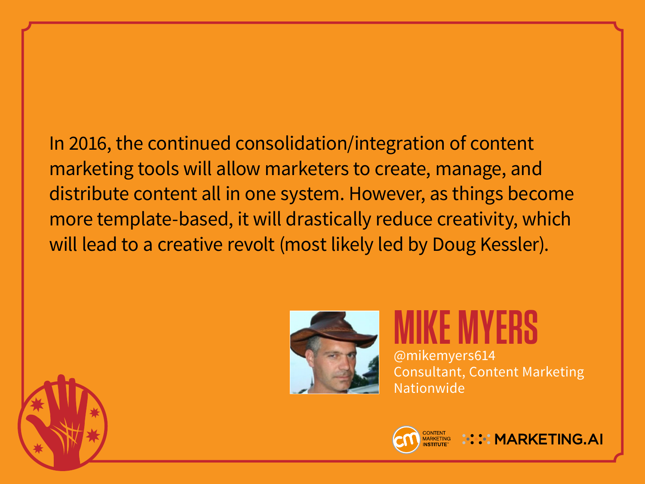In 2016, the continued consolidation/integration of content marketing tools will allow marketers to create, manage, and distribute content all in one system. However, as things become more template-based, it will drastically reduce creativity, which will lead to a creative revolt (most likely led by Doug Kessler).



**MIKE MYERS** @mikemyers614 Consultant, Content Marketing Nationwide



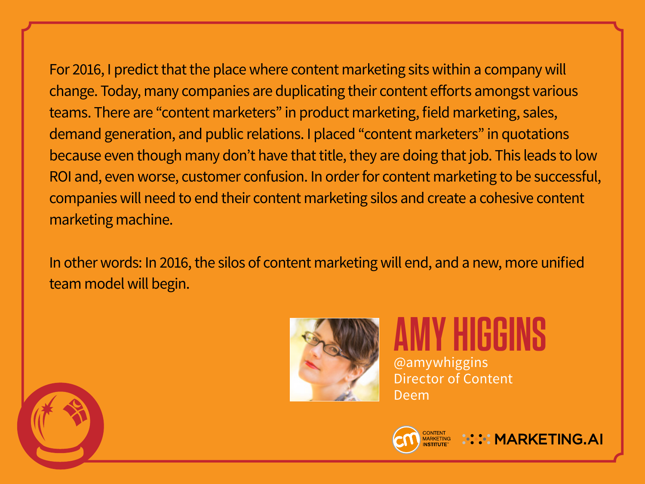For 2016, I predict that the place where content marketing sits within a company will change. Today, many companies are duplicating their content efforts amongst various teams. There are "content marketers" in product marketing, field marketing, sales, demand generation, and public relations. I placed "content marketers" in quotations because even though many don't have that title, they are doing that job. This leads to low ROI and, even worse, customer confusion. In order for content marketing to be successful, companies will need to end their content marketing silos and create a cohesive content marketing machine.

In other words: In 2016, the silos of content marketing will end, and a new, more unified team model will begin.



#### **AMY HIGGINS** @amywhiggins Director of Content Deem



**::::: MARKETING.AI**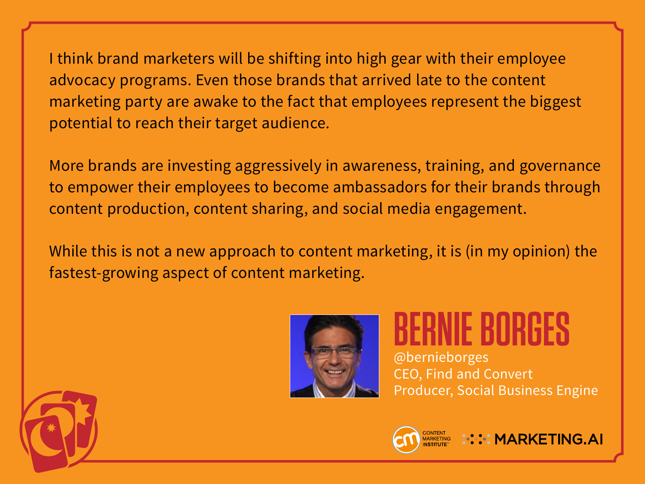I think brand marketers will be shifting into high gear with their employee advocacy programs. Even those brands that arrived late to the content marketing party are awake to the fact that employees represent the biggest potential to reach their target audience.

More brands are investing aggressively in awareness, training, and governance to empower their employees to become ambassadors for their brands through content production, content sharing, and social media engagement.

While this is not a new approach to content marketing, it is (in my opinion) the fastest-growing aspect of content marketing.



**BERNIE BORGES** @bernieborges CEO, Find and Convert Producer, Social Business Engine

**::::: MARKETING.AI** 



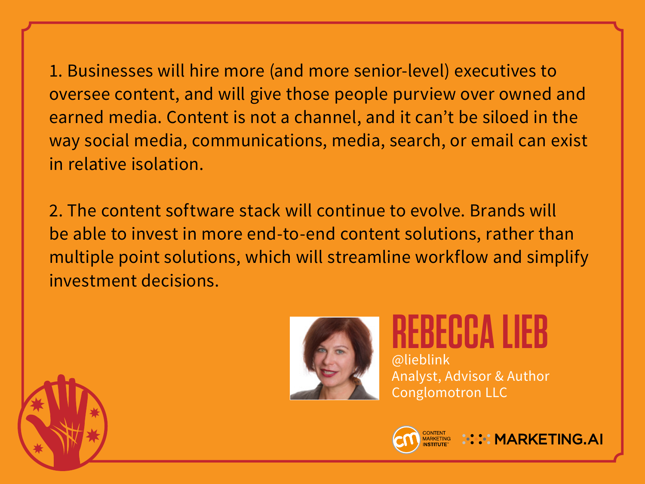1. Businesses will hire more (and more senior-level) executives to oversee content, and will give those people purview over owned and earned media. Content is not a channel, and it can't be siloed in the way social media, communications, media, search, or email can exist in relative isolation.

2. The content software stack will continue to evolve. Brands will be able to invest in more end-to-end content solutions, rather than multiple point solutions, which will streamline workflow and simplify investment decisions.



#### **REBECCA LIEB** @lieblink Analyst, Advisor & Author Conglomotron LLC



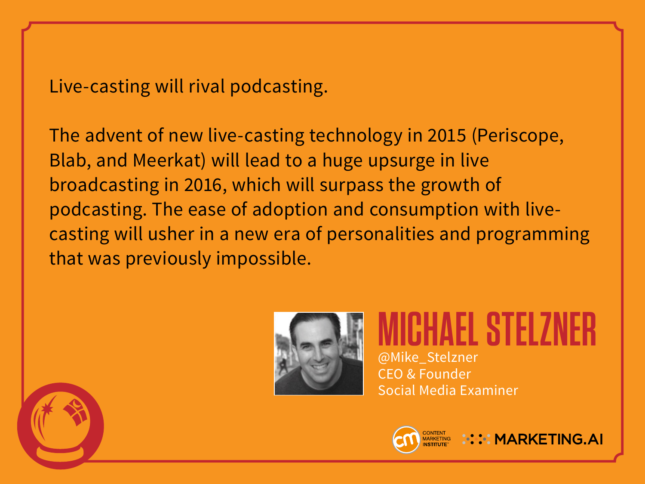#### Live-casting will rival podcasting.

The advent of new live-casting technology in 2015 (Periscope, Blab, and Meerkat) will lead to a huge upsurge in live broadcasting in 2016, which will surpass the growth of podcasting. The ease of adoption and consumption with livecasting will usher in a new era of personalities and programming that was previously impossible.



#### **MICHAEL STELZNER** @Mike\_Stelzner CEO & Founder Social Media Examiner

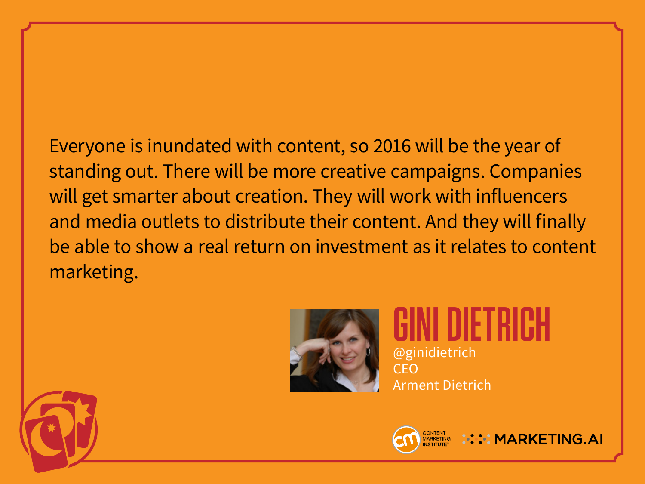Everyone is inundated with content, so 2016 will be the year of standing out. There will be more creative campaigns. Companies will get smarter about creation. They will work with influencers and media outlets to distribute their content. And they will finally be able to show a real return on investment as it relates to content marketing.



**GINI DIETRICH** @ginidietrich CEO Arment Dietrich



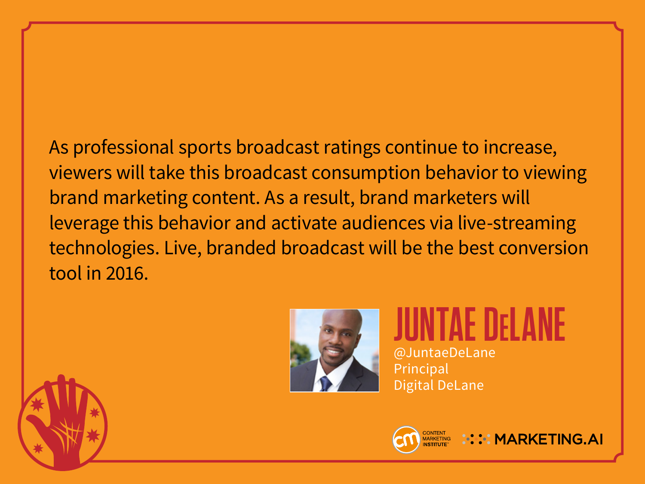As professional sports broadcast ratings continue to increase, viewers will take this broadcast consumption behavior to viewing brand marketing content. As a result, brand marketers will leverage this behavior and activate audiences via live-streaming technologies. Live, branded broadcast will be the best conversion tool in 2016.



#### **JUNTAE DELANE** @JuntaeDeLane Principal

Digital DeLane



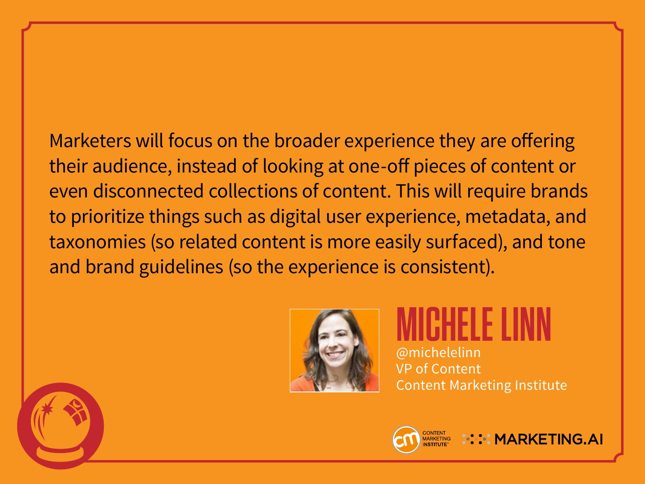Marketers will focus on the broader experience they are offering their audience, instead of looking at one-off pieces of content or even disconnected collections of content. This will require brands to prioritize things such as digital user experience, metadata, and taxonomies (so related content is more easily surfaced), and tone and brand guidelines (so the experience is consistent).



**MICHELE LINN** @michelelinn VP of Content Content Marketing Institute



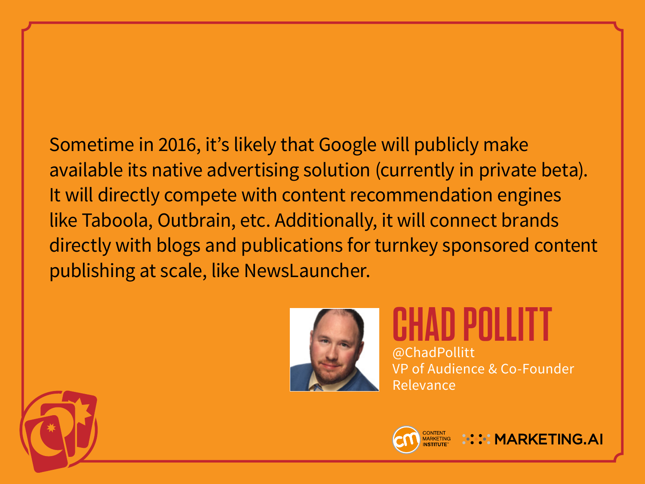Sometime in 2016, it's likely that Google will publicly make available its native advertising solution (currently in private beta). It will directly compete with content recommendation engines like Taboola, Outbrain, etc. Additionally, it will connect brands directly with blogs and publications for turnkey sponsored content publishing at scale, like NewsLauncher.



**CHAD POLLITT** @ChadPollitt VP of Audience & Co-Founder Relevance



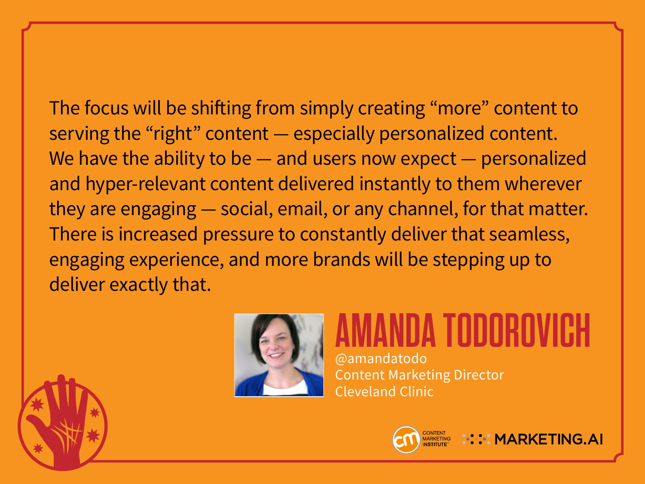The focus will be shifting from simply creating "more" content to serving the "right" content — especially personalized content. We have the ability to be — and users now expect — personalized and hyper-relevant content delivered instantly to them wherever they are engaging — social, email, or any channel, for that matter. There is increased pressure to constantly deliver that seamless, engaging experience, and more brands will be stepping up to deliver exactly that.



### **AMBA TODOROV**

@amandatodo Content Marketing Director Cleveland Clinic



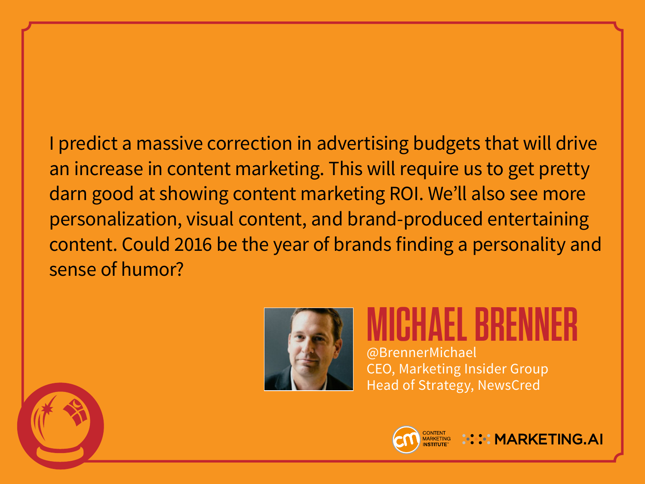I predict a massive correction in advertising budgets that will drive an increase in content marketing. This will require us to get pretty darn good at showing content marketing ROI. We'll also see more personalization, visual content, and brand-produced entertaining content. Could 2016 be the year of brands finding a personality and sense of humor?



## **MICHAEL BRENNER**

@BrennerMichael CEO, Marketing Insider Group Head of Strategy, NewsCred

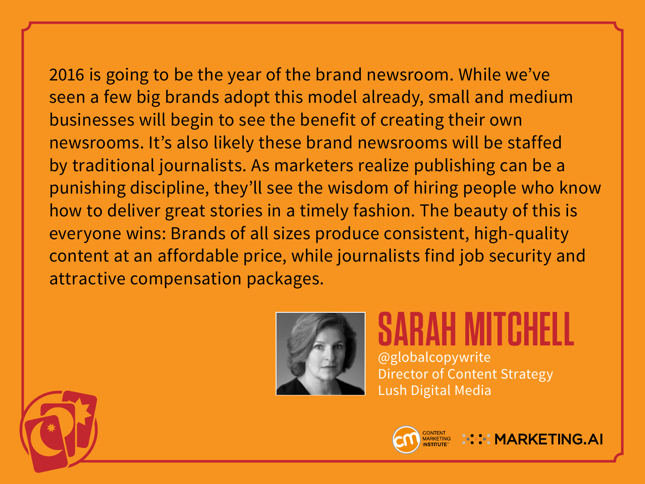#### 2016 is going to be the year of the brand newsroom. While we've seen a few big brands adopt this model already, small and medium businesses will begin to see the benefit of creating their own newsrooms. It's also likely these brand newsrooms will be staffed by traditional journalists. As marketers realize publishing can be a punishing discipline, they'll see the wisdom of hiring people who know how to deliver great stories in a timely fashion. The beauty of this is everyone wins: Brands of all sizes produce consistent, high-quality content at an affordable price, while journalists find job security and



attractive compensation packages.

**SARAH MITCHELL** @globalcopywrite Director of Content Strategy Lush Digital Media



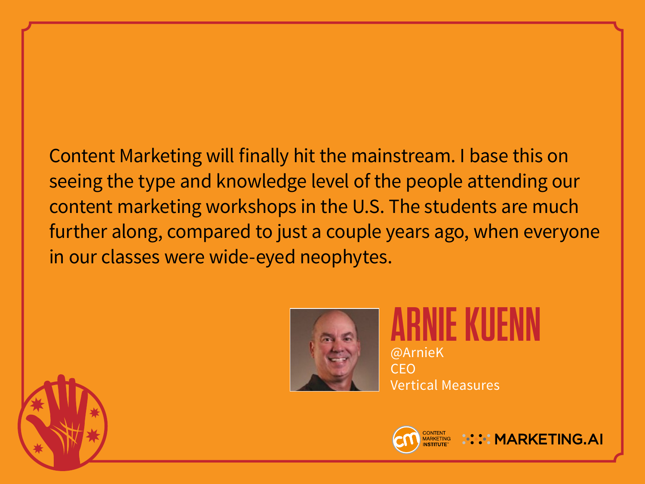Content Marketing will finally hit the mainstream. I base this on seeing the type and knowledge level of the people attending our content marketing workshops in the U.S. The students are much further along, compared to just a couple years ago, when everyone in our classes were wide-eyed neophytes.



**ARNIE KUENN** @ArnieK CEO Vertical Measures

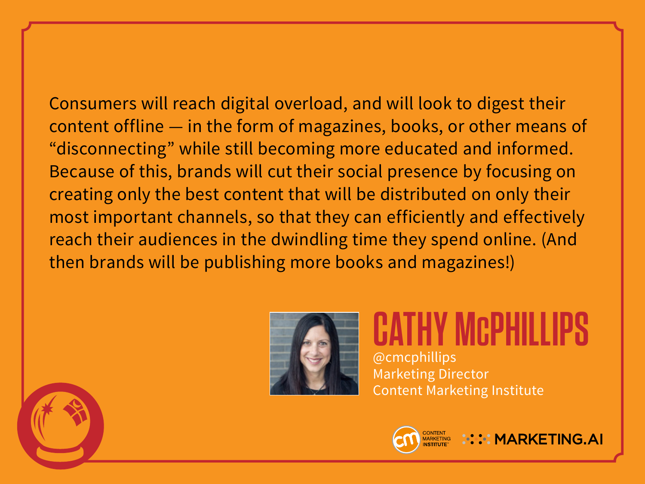Consumers will reach digital overload, and will look to digest their content offline — in the form of magazines, books, or other means of "disconnecting" while still becoming more educated and informed. Because of this, brands will cut their social presence by focusing on creating only the best content that will be distributed on only their most important channels, so that they can efficiently and effectively reach their audiences in the dwindling time they spend online. (And then brands will be publishing more books and magazines!)



#### **CATHY MCPHILLIPS** @cmcphillips Marketing Director Content Marketing Institute

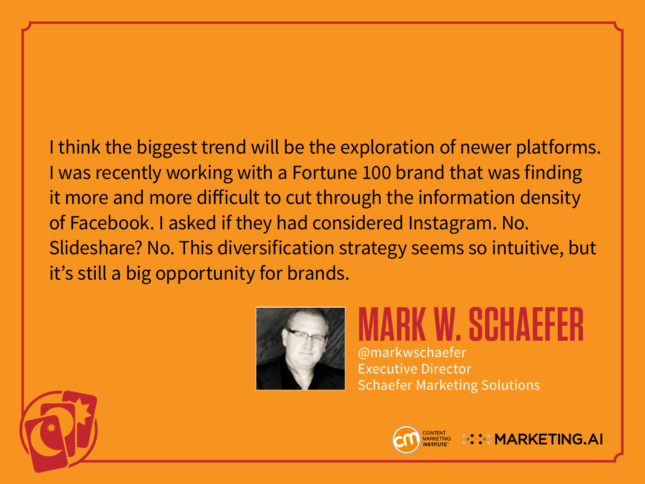I think the biggest trend will be the exploration of newer platforms. I was recently working with a Fortune 100 brand that was finding it more and more difficult to cut through the information density of Facebook. I asked if they had considered Instagram. No. Slideshare? No. This diversification strategy seems so intuitive, but it's still a big opportunity for brands.



#### **MARK W. SCHAEFER** @markwschaefer Executive Director Schaefer Marketing Solutions



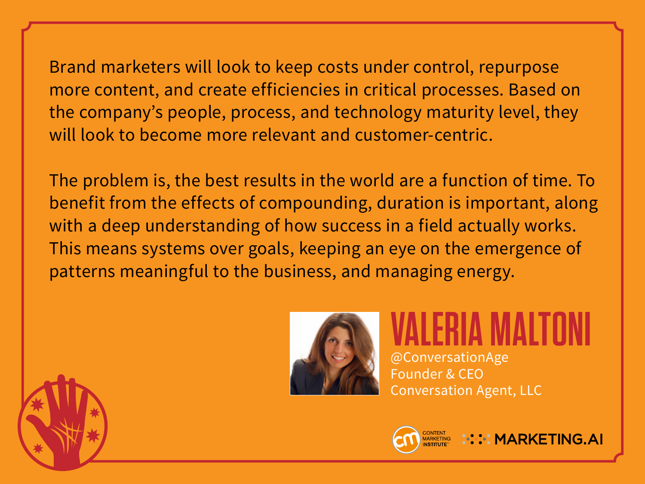Brand marketers will look to keep costs under control, repurpose more content, and create efficiencies in critical processes. Based on the company's people, process, and technology maturity level, they will look to become more relevant and customer-centric.

The problem is, the best results in the world are a function of time. To benefit from the effects of compounding, duration is important, along with a deep understanding of how success in a field actually works. This means systems over goals, keeping an eye on the emergence of patterns meaningful to the business, and managing energy.



**VALERIA MALTONI** @ConversationAge Founder & CEO Conversation Agent, LLC

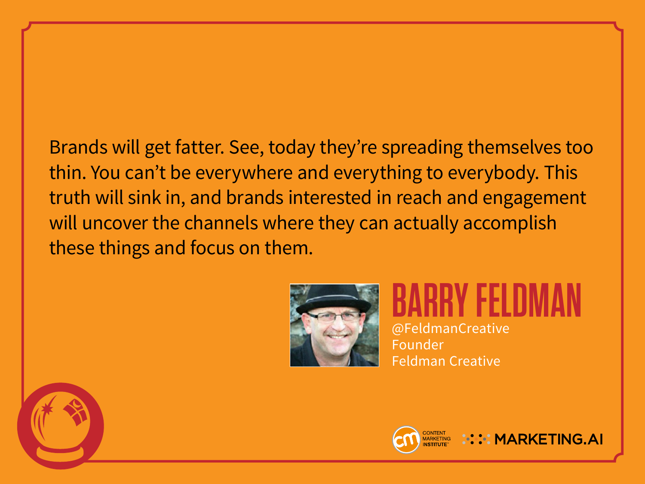#### Brands will get fatter. See, today they're spreading themselves too thin. You can't be everywhere and everything to everybody. This truth will sink in, and brands interested in reach and engagement will uncover the channels where they can actually accomplish these things and focus on them.



**BARRY FELDMAN** @FeldmanCreative Founder Feldman Creative



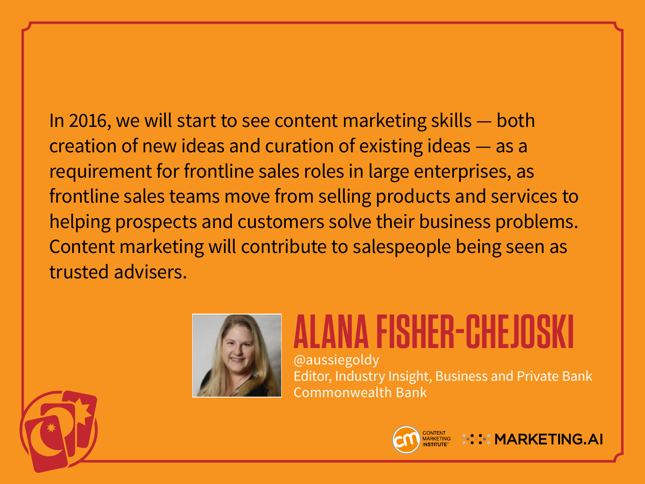In 2016, we will start to see content marketing skills — both creation of new ideas and curation of existing ideas — as a requirement for frontline sales roles in large enterprises, as frontline sales teams move from selling products and services to helping prospects and customers solve their business problems. Content marketing will contribute to salespeople being seen as trusted advisers.



### **ALANA FISHER-CHEJOSKI**

@aussiegoldy Editor, Industry Insight, Business and Private Bank Commonwealth Bank



**CONTENT MARKETING.AI**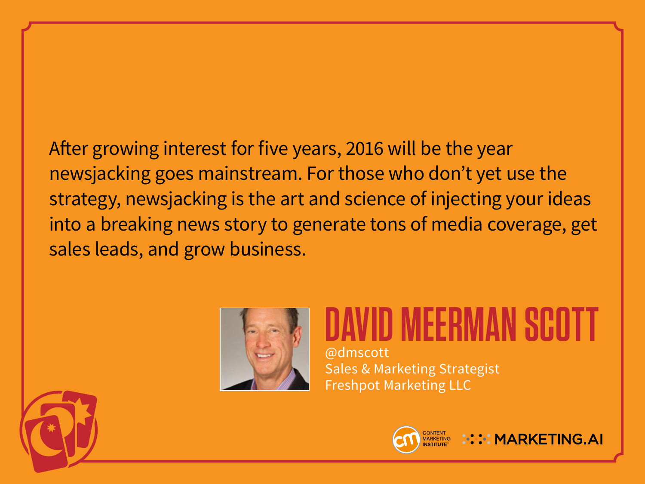After growing interest for five years, 2016 will be the year newsjacking goes mainstream. For those who don't yet use the strategy, newsjacking is the art and science of injecting your ideas into a breaking news story to generate tons of media coverage, get sales leads, and grow business.



### **DAVID MEERMAN SCOTT** @dmscott

Sales & Marketing Strategist Freshpot Marketing LLC





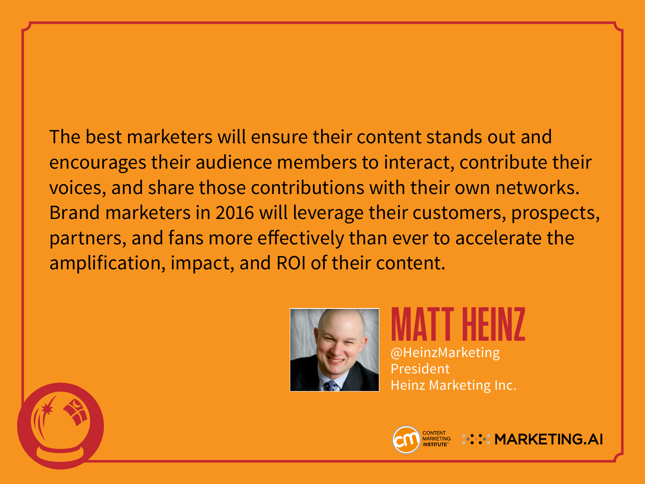The best marketers will ensure their content stands out and encourages their audience members to interact, contribute their voices, and share those contributions with their own networks. Brand marketers in 2016 will leverage their customers, prospects, partners, and fans more effectively than ever to accelerate the amplification, impact, and ROI of their content.



**MATT HEINZ** @HeinzMarketing President Heinz Marketing Inc.



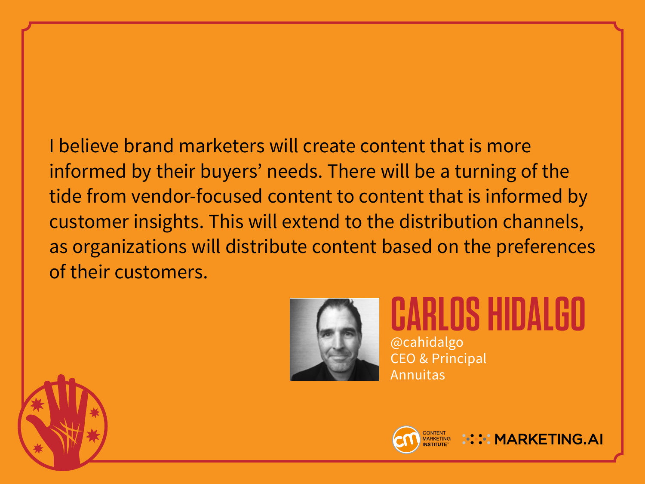I believe brand marketers will create content that is more informed by their buyers' needs. There will be a turning of the tide from vendor-focused content to content that is informed by customer insights. This will extend to the distribution channels, as organizations will distribute content based on the preferences of their customers.



**CARLOS HIDALGO** @cahidalgo CEO & Principal Annuitas



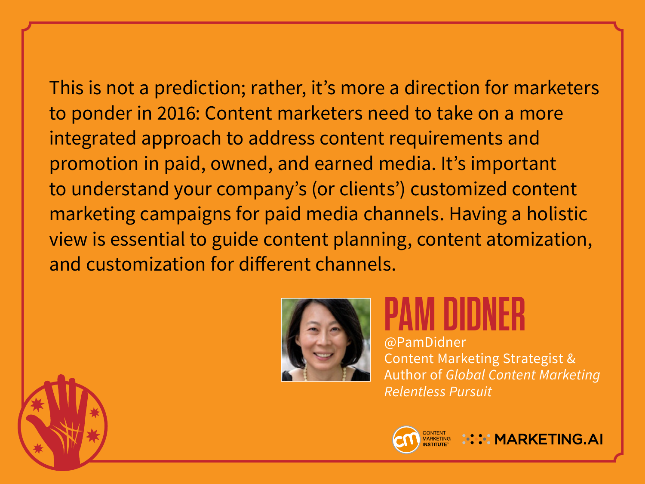This is not a prediction; rather, it's more a direction for marketers to ponder in 2016: Content marketers need to take on a more integrated approach to address content requirements and promotion in paid, owned, and earned media. It's important to understand your company's (or clients') customized content marketing campaigns for paid media channels. Having a holistic view is essential to guide content planning, content atomization, and customization for different channels.



## **PAM DIDNER**

@PamDidner Content Marketing Strategist & Author of *Global Content Marketing Relentless Pursuit*



**A: ::: MARKETING.AI**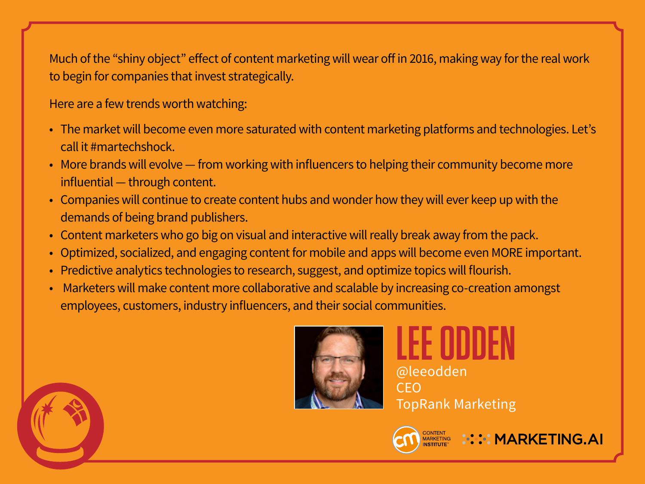Much of the "shiny object" effect of content marketing will wear off in 2016, making way for the real work to begin for companies that invest strategically.

Here are a few trends worth watching:

- The market will become even more saturated with content marketing platforms and technologies. Let's call it #martechshock.
- More brands will evolve from working with influencers to helping their community become more influential — through content.
- Companies will continue to create content hubs and wonder how they will ever keep up with the demands of being brand publishers.
- Content marketers who go big on visual and interactive will really break away from the pack.
- Optimized, socialized, and engaging content for mobile and apps will become even MORE important.
- Predictive analytics technologies to research, suggest, and optimize topics will flourish.
- Marketers will make content more collaborative and scalable by increasing co-creation amongst employees, customers, industry influencers, and their social communities.



**LEE ODDEN** @leeodden CEO TopRank Marketing



**::::: MARKETING.AI**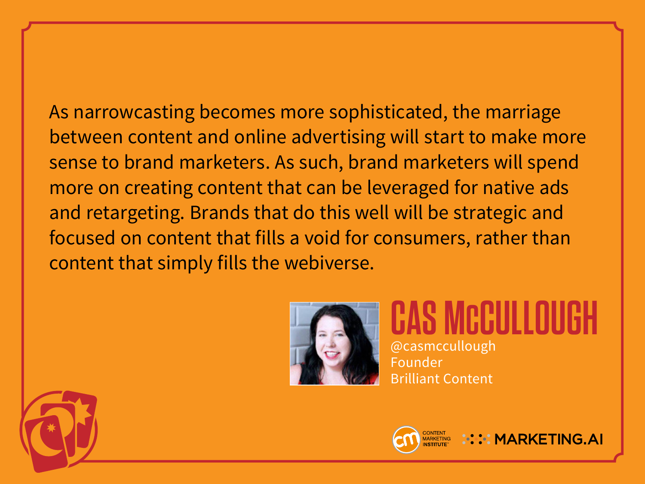As narrowcasting becomes more sophisticated, the marriage between content and online advertising will start to make more sense to brand marketers. As such, brand marketers will spend more on creating content that can be leveraged for native ads and retargeting. Brands that do this well will be strategic and focused on content that fills a void for consumers, rather than content that simply fills the webiverse.



**S MCCULLO** @casmccullough Founder Brilliant Content



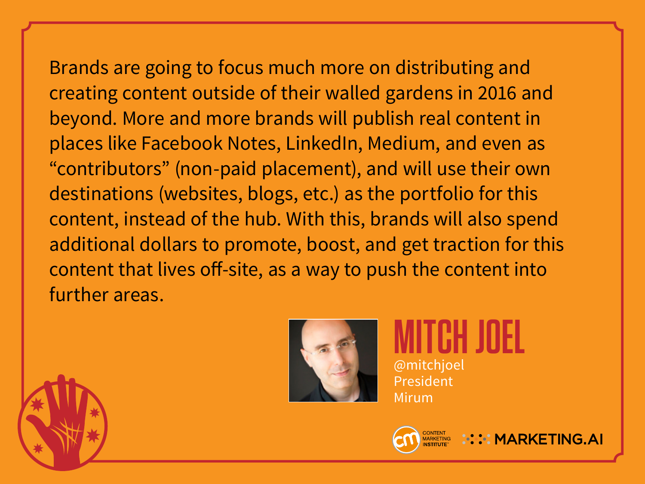Brands are going to focus much more on distributing and creating content outside of their walled gardens in 2016 and beyond. More and more brands will publish real content in places like Facebook Notes, LinkedIn, Medium, and even as "contributors" (non-paid placement), and will use their own destinations (websites, blogs, etc.) as the portfolio for this content, instead of the hub. With this, brands will also spend additional dollars to promote, boost, and get traction for this content that lives off-site, as a way to push the content into further areas.



**MITCH JOEL** @mitchjoel President Mirum



**W.W.MARKETING.AI**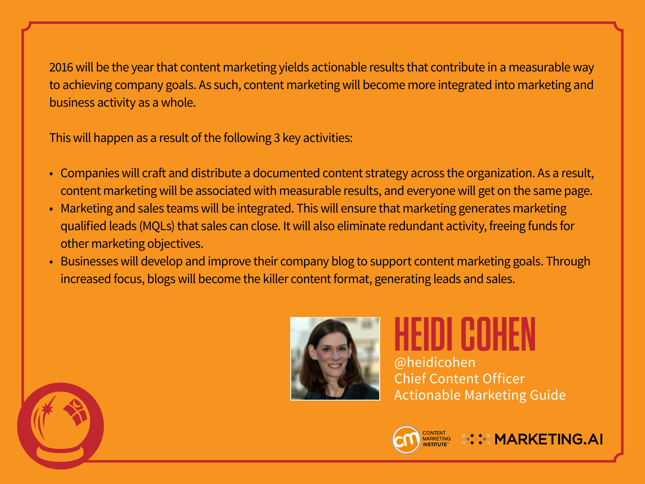2016 will be the year that content marketing yields actionable results that contribute in a measurable way to achieving company goals. As such, content marketing will become more integrated into marketing and business activity as a whole.

This will happen as a result of the following 3 key activities:

- Companies will craft and distribute a documented content strategy across the organization. As a result, content marketing will be associated with measurable results, and everyone will get on the same page.
- Marketing and sales teams will be integrated. This will ensure that marketing generates marketing qualified leads (MQLs) that sales can close. It will also eliminate redundant activity, freeing funds for other marketing objectives.
- Businesses will develop and improve their company blog to support content marketing goals. Through increased focus, blogs will become the killer content format, generating leads and sales.



# **HEIDI COHEN**

@heidicohen Chief Content Officer Actionable Marketing Guide



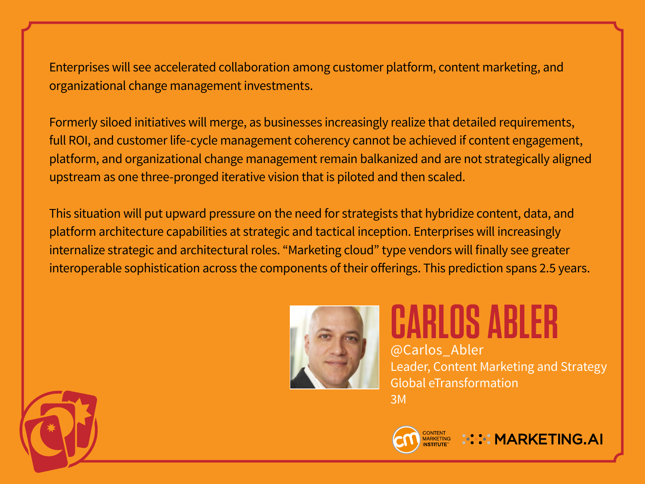Enterprises will see accelerated collaboration among customer platform, content marketing, and organizational change management investments.

Formerly siloed initiatives will merge, as businesses increasingly realize that detailed requirements, full ROI, and customer life-cycle management coherency cannot be achieved if content engagement, platform, and organizational change management remain balkanized and are not strategically aligned upstream as one three-pronged iterative vision that is piloted and then scaled.

This situation will put upward pressure on the need for strategists that hybridize content, data, and platform architecture capabilities at strategic and tactical inception. Enterprises will increasingly internalize strategic and architectural roles. "Marketing cloud" type vendors will finally see greater interoperable sophistication across the components of their offerings. This prediction spans 2.5 years.



**CARLOS ABLER** @Carlos\_Abler Leader, Content Marketing and Strategy Global eTransformation 3M



**::::: MARKETING.AI**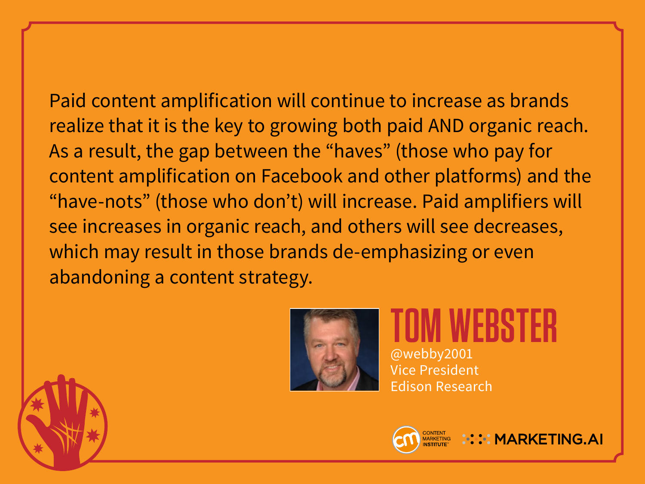Paid content amplification will continue to increase as brands realize that it is the key to growing both paid AND organic reach. As a result, the gap between the "haves" (those who pay for content amplification on Facebook and other platforms) and the

"have-nots" (those who don't) will increase. Paid amplifiers will see increases in organic reach, and others will see decreases, which may result in those brands de-emphasizing or even abandoning a content strategy.



**TOM WEBSTER** @webby2001 Vice President Edison Research



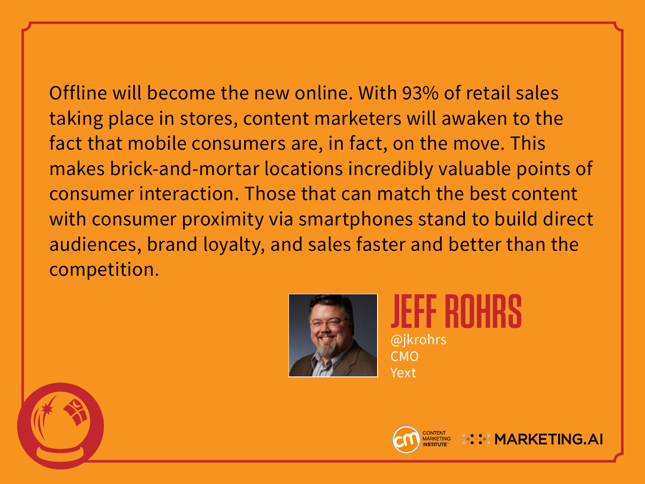Offline will become the new online. With 93% of retail sales taking place in stores, content marketers will awaken to the fact that mobile consumers are, in fact, on the move. This makes brick-and-mortar locations incredibly valuable points of consumer interaction. Those that can match the best content with consumer proximity via smartphones stand to build direct audiences, brand loyalty, and sales faster and better than the competition.



**JEFF ROHRS** @jkrohrs CMO Yext



**ALCOMPTING AI**